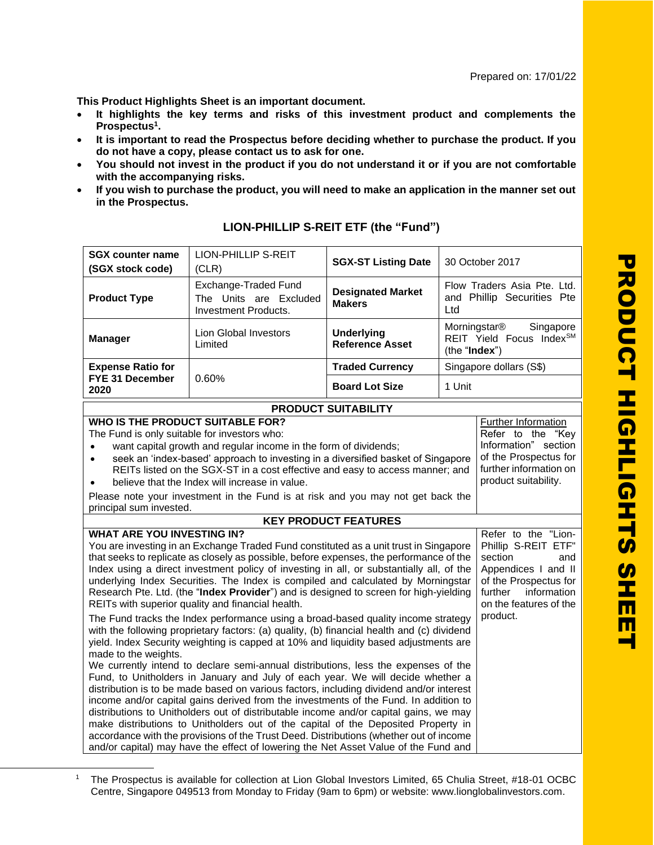Prepared on: 17/01/22

**This Product Highlights Sheet is an important document.**

- **It highlights the key terms and risks of this investment product and complements the Prospectus<sup>1</sup> .**
- **It is important to read the Prospectus before deciding whether to purchase the product. If you do not have a copy, please contact us to ask for one.**
- **You should not invest in the product if you do not understand it or if you are not comfortable with the accompanying risks.**
- **If you wish to purchase the product, you will need to make an application in the manner set out in the Prospectus.**

| <b>SGX counter name</b><br>(SGX stock code)                                                                                                                                                                                                                                                                                                                                                                                                                                                                                                                                                                                                                                                                                                                                                                                                                                                                                                                                                                                            | <b>LION-PHILLIP S-REIT</b><br>(CLR)                                           | <b>SGX-ST Listing Date</b>                  |                                                                                                                                                                  | 30 October 2017                                                                                                     |
|----------------------------------------------------------------------------------------------------------------------------------------------------------------------------------------------------------------------------------------------------------------------------------------------------------------------------------------------------------------------------------------------------------------------------------------------------------------------------------------------------------------------------------------------------------------------------------------------------------------------------------------------------------------------------------------------------------------------------------------------------------------------------------------------------------------------------------------------------------------------------------------------------------------------------------------------------------------------------------------------------------------------------------------|-------------------------------------------------------------------------------|---------------------------------------------|------------------------------------------------------------------------------------------------------------------------------------------------------------------|---------------------------------------------------------------------------------------------------------------------|
| <b>Product Type</b>                                                                                                                                                                                                                                                                                                                                                                                                                                                                                                                                                                                                                                                                                                                                                                                                                                                                                                                                                                                                                    | Exchange-Traded Fund<br>The Units are Excluded<br><b>Investment Products.</b> | <b>Designated Market</b><br><b>Makers</b>   | Ltd                                                                                                                                                              | Flow Traders Asia Pte. Ltd.<br>and Phillip Securities Pte                                                           |
| <b>Manager</b>                                                                                                                                                                                                                                                                                                                                                                                                                                                                                                                                                                                                                                                                                                                                                                                                                                                                                                                                                                                                                         | <b>Lion Global Investors</b><br>Limited                                       | <b>Underlying</b><br><b>Reference Asset</b> | Morningstar <sup>®</sup><br>Singapore<br>REIT Yield Focus IndexSM<br>(the "Index")                                                                               |                                                                                                                     |
| <b>Expense Ratio for</b>                                                                                                                                                                                                                                                                                                                                                                                                                                                                                                                                                                                                                                                                                                                                                                                                                                                                                                                                                                                                               |                                                                               | <b>Traded Currency</b>                      |                                                                                                                                                                  | Singapore dollars (S\$)                                                                                             |
| FYE 31 December<br>2020                                                                                                                                                                                                                                                                                                                                                                                                                                                                                                                                                                                                                                                                                                                                                                                                                                                                                                                                                                                                                | 0.60%                                                                         | <b>Board Lot Size</b>                       | 1 Unit                                                                                                                                                           |                                                                                                                     |
|                                                                                                                                                                                                                                                                                                                                                                                                                                                                                                                                                                                                                                                                                                                                                                                                                                                                                                                                                                                                                                        |                                                                               | <b>PRODUCT SUITABILITY</b>                  |                                                                                                                                                                  |                                                                                                                     |
| <b>WHO IS THE PRODUCT SUITABLE FOR?</b><br>The Fund is only suitable for investors who:<br>want capital growth and regular income in the form of dividends;<br>$\bullet$<br>seek an 'index-based' approach to investing in a diversified basket of Singapore<br>$\bullet$<br>REITs listed on the SGX-ST in a cost effective and easy to access manner; and<br>product suitability.<br>believe that the Index will increase in value.<br>$\bullet$<br>Please note your investment in the Fund is at risk and you may not get back the<br>principal sum invested.                                                                                                                                                                                                                                                                                                                                                                                                                                                                        |                                                                               |                                             |                                                                                                                                                                  | Further Information<br>Refer to the "Key<br>Information" section<br>of the Prospectus for<br>further information on |
|                                                                                                                                                                                                                                                                                                                                                                                                                                                                                                                                                                                                                                                                                                                                                                                                                                                                                                                                                                                                                                        |                                                                               | <b>KEY PRODUCT FEATURES</b>                 |                                                                                                                                                                  |                                                                                                                     |
| <b>WHAT ARE YOU INVESTING IN?</b><br>You are investing in an Exchange Traded Fund constituted as a unit trust in Singapore<br>that seeks to replicate as closely as possible, before expenses, the performance of the<br>Index using a direct investment policy of investing in all, or substantially all, of the<br>underlying Index Securities. The Index is compiled and calculated by Morningstar<br>Research Pte. Ltd. (the "Index Provider") and is designed to screen for high-yielding<br>REITs with superior quality and financial health.                                                                                                                                                                                                                                                                                                                                                                                                                                                                                    |                                                                               |                                             | Refer to the "Lion-<br>Phillip S-REIT ETF"<br>section<br>and<br>Appendices I and II<br>of the Prospectus for<br>further<br>information<br>on the features of the |                                                                                                                     |
| product.<br>The Fund tracks the Index performance using a broad-based quality income strategy<br>with the following proprietary factors: (a) quality, (b) financial health and (c) dividend<br>yield. Index Security weighting is capped at 10% and liquidity based adjustments are<br>made to the weights.<br>We currently intend to declare semi-annual distributions, less the expenses of the<br>Fund, to Unitholders in January and July of each year. We will decide whether a<br>distribution is to be made based on various factors, including dividend and/or interest<br>income and/or capital gains derived from the investments of the Fund. In addition to<br>distributions to Unitholders out of distributable income and/or capital gains, we may<br>make distributions to Unitholders out of the capital of the Deposited Property in<br>accordance with the provisions of the Trust Deed. Distributions (whether out of income<br>and/or capital) may have the effect of lowering the Net Asset Value of the Fund and |                                                                               |                                             |                                                                                                                                                                  |                                                                                                                     |

## **LION-PHILLIP S-REIT ETF (the "Fund")**

<sup>1</sup> The Prospectus is available for collection at Lion Global Investors Limited, 65 Chulia Street, #18-01 OCBC Centre, Singapore 049513 from Monday to Friday (9am to 6pm) or website: www.lionglobalinvestors.com.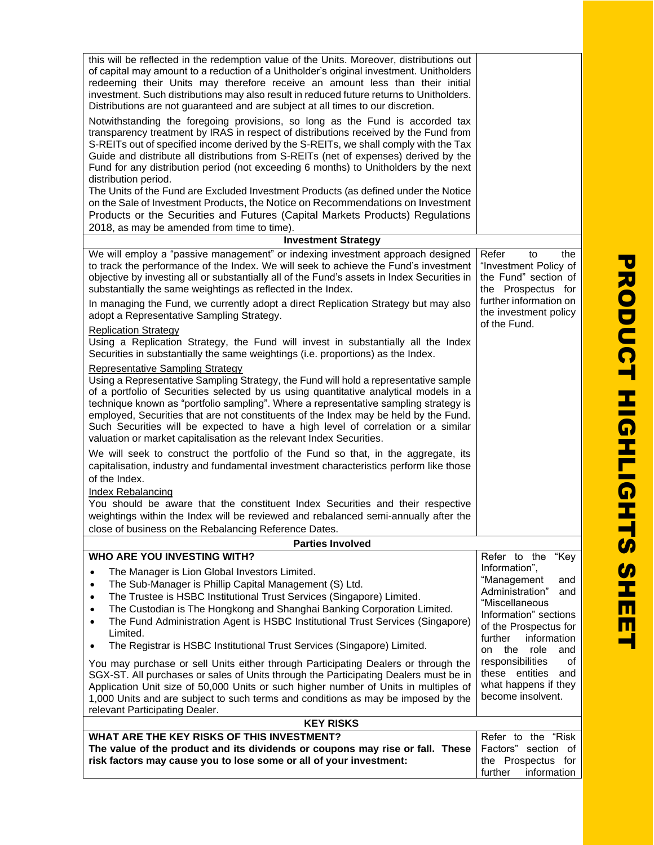| this will be reflected in the redemption value of the Units. Moreover, distributions out<br>of capital may amount to a reduction of a Unitholder's original investment. Unitholders<br>redeeming their Units may therefore receive an amount less than their initial<br>investment. Such distributions may also result in reduced future returns to Unitholders.<br>Distributions are not guaranteed and are subject at all times to our discretion.<br>Notwithstanding the foregoing provisions, so long as the Fund is accorded tax<br>transparency treatment by IRAS in respect of distributions received by the Fund from |                                                                                              |  |
|-------------------------------------------------------------------------------------------------------------------------------------------------------------------------------------------------------------------------------------------------------------------------------------------------------------------------------------------------------------------------------------------------------------------------------------------------------------------------------------------------------------------------------------------------------------------------------------------------------------------------------|----------------------------------------------------------------------------------------------|--|
| S-REITs out of specified income derived by the S-REITs, we shall comply with the Tax<br>Guide and distribute all distributions from S-REITs (net of expenses) derived by the<br>Fund for any distribution period (not exceeding 6 months) to Unitholders by the next<br>distribution period.                                                                                                                                                                                                                                                                                                                                  |                                                                                              |  |
| The Units of the Fund are Excluded Investment Products (as defined under the Notice<br>on the Sale of Investment Products, the Notice on Recommendations on Investment<br>Products or the Securities and Futures (Capital Markets Products) Regulations                                                                                                                                                                                                                                                                                                                                                                       |                                                                                              |  |
| 2018, as may be amended from time to time).                                                                                                                                                                                                                                                                                                                                                                                                                                                                                                                                                                                   |                                                                                              |  |
| <b>Investment Strategy</b>                                                                                                                                                                                                                                                                                                                                                                                                                                                                                                                                                                                                    |                                                                                              |  |
| We will employ a "passive management" or indexing investment approach designed<br>to track the performance of the Index. We will seek to achieve the Fund's investment<br>objective by investing all or substantially all of the Fund's assets in Index Securities in<br>substantially the same weightings as reflected in the Index.                                                                                                                                                                                                                                                                                         | Refer<br>the<br>to<br>"Investment Policy of<br>the Fund" section of<br>the Prospectus for    |  |
| In managing the Fund, we currently adopt a direct Replication Strategy but may also<br>adopt a Representative Sampling Strategy.                                                                                                                                                                                                                                                                                                                                                                                                                                                                                              | further information on<br>the investment policy<br>of the Fund.                              |  |
| <b>Replication Strategy</b><br>Using a Replication Strategy, the Fund will invest in substantially all the Index<br>Securities in substantially the same weightings (i.e. proportions) as the Index.                                                                                                                                                                                                                                                                                                                                                                                                                          |                                                                                              |  |
| <b>Representative Sampling Strategy</b><br>Using a Representative Sampling Strategy, the Fund will hold a representative sample<br>of a portfolio of Securities selected by us using quantitative analytical models in a<br>technique known as "portfolio sampling". Where a representative sampling strategy is<br>employed, Securities that are not constituents of the Index may be held by the Fund.<br>Such Securities will be expected to have a high level of correlation or a similar<br>valuation or market capitalisation as the relevant Index Securities.                                                         |                                                                                              |  |
| We will seek to construct the portfolio of the Fund so that, in the aggregate, its<br>capitalisation, industry and fundamental investment characteristics perform like those<br>of the Index.                                                                                                                                                                                                                                                                                                                                                                                                                                 |                                                                                              |  |
| Index Rebalancing                                                                                                                                                                                                                                                                                                                                                                                                                                                                                                                                                                                                             |                                                                                              |  |
| You should be aware that the constituent Index Securities and their respective                                                                                                                                                                                                                                                                                                                                                                                                                                                                                                                                                |                                                                                              |  |
| weightings within the Index will be reviewed and rebalanced semi-annually after the<br>close of business on the Rebalancing Reference Dates.                                                                                                                                                                                                                                                                                                                                                                                                                                                                                  |                                                                                              |  |
| <b>Parties Involved</b>                                                                                                                                                                                                                                                                                                                                                                                                                                                                                                                                                                                                       |                                                                                              |  |
| WHO ARE YOU INVESTING WITH?                                                                                                                                                                                                                                                                                                                                                                                                                                                                                                                                                                                                   | Refer to the<br>"Key                                                                         |  |
| The Manager is Lion Global Investors Limited.                                                                                                                                                                                                                                                                                                                                                                                                                                                                                                                                                                                 | Information",<br>"Management<br>and                                                          |  |
| The Sub-Manager is Phillip Capital Management (S) Ltd.<br>٠<br>The Trustee is HSBC Institutional Trust Services (Singapore) Limited.<br>٠                                                                                                                                                                                                                                                                                                                                                                                                                                                                                     | Administration"<br>and                                                                       |  |
| The Custodian is The Hongkong and Shanghai Banking Corporation Limited.<br>٠                                                                                                                                                                                                                                                                                                                                                                                                                                                                                                                                                  | "Miscellaneous                                                                               |  |
| The Fund Administration Agent is HSBC Institutional Trust Services (Singapore)                                                                                                                                                                                                                                                                                                                                                                                                                                                                                                                                                | Information" sections                                                                        |  |
| Limited.                                                                                                                                                                                                                                                                                                                                                                                                                                                                                                                                                                                                                      | of the Prospectus for<br>information<br>further                                              |  |
| The Registrar is HSBC Institutional Trust Services (Singapore) Limited.<br>٠                                                                                                                                                                                                                                                                                                                                                                                                                                                                                                                                                  | on the<br>role<br>and                                                                        |  |
| You may purchase or sell Units either through Participating Dealers or through the<br>SGX-ST. All purchases or sales of Units through the Participating Dealers must be in<br>Application Unit size of 50,000 Units or such higher number of Units in multiples of<br>1,000 Units and are subject to such terms and conditions as may be imposed by the<br>relevant Participating Dealer.                                                                                                                                                                                                                                     | responsibilities<br>οf<br>these entities<br>and<br>what happens if they<br>become insolvent. |  |
| <b>KEY RISKS</b>                                                                                                                                                                                                                                                                                                                                                                                                                                                                                                                                                                                                              |                                                                                              |  |
| WHAT ARE THE KEY RISKS OF THIS INVESTMENT?<br>The value of the product and its dividends or coupons may rise or fall. These                                                                                                                                                                                                                                                                                                                                                                                                                                                                                                   | Refer to the "Risk"<br>Factors" section of                                                   |  |
| risk factors may cause you to lose some or all of your investment:                                                                                                                                                                                                                                                                                                                                                                                                                                                                                                                                                            | the Prospectus for<br>further<br>information                                                 |  |
|                                                                                                                                                                                                                                                                                                                                                                                                                                                                                                                                                                                                                               |                                                                                              |  |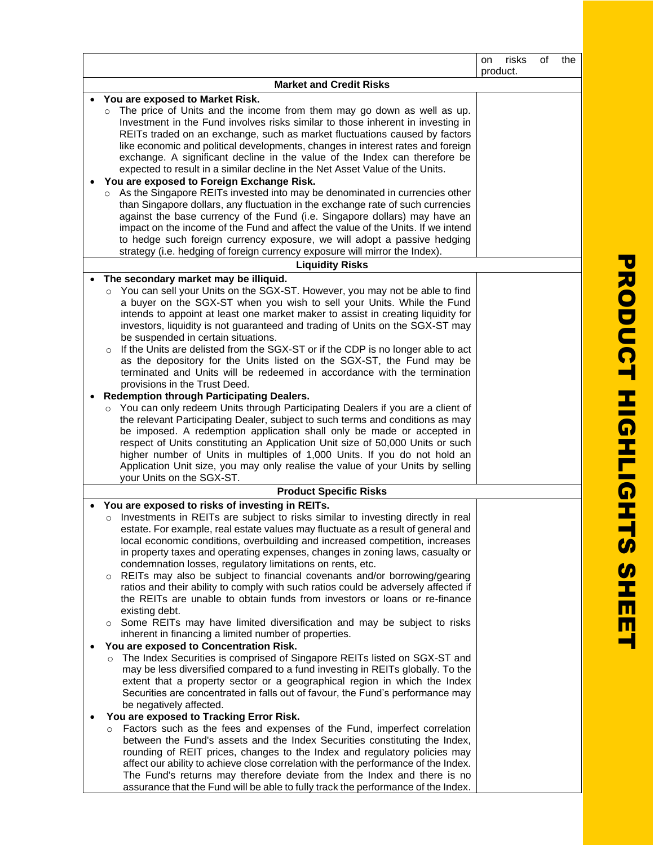|                                                                                                                                                                                                                                                                                                                                                                                                                                                                                                                                                                                                                                                                                                                                                                                                                                                                                                                                                                                                                                                                                                                                                                                                                                                                                                                                                                                                                                                                                                                                                                                                                                                                                                                                                                                                    | risks<br>on<br>product. | of | the |
|----------------------------------------------------------------------------------------------------------------------------------------------------------------------------------------------------------------------------------------------------------------------------------------------------------------------------------------------------------------------------------------------------------------------------------------------------------------------------------------------------------------------------------------------------------------------------------------------------------------------------------------------------------------------------------------------------------------------------------------------------------------------------------------------------------------------------------------------------------------------------------------------------------------------------------------------------------------------------------------------------------------------------------------------------------------------------------------------------------------------------------------------------------------------------------------------------------------------------------------------------------------------------------------------------------------------------------------------------------------------------------------------------------------------------------------------------------------------------------------------------------------------------------------------------------------------------------------------------------------------------------------------------------------------------------------------------------------------------------------------------------------------------------------------------|-------------------------|----|-----|
| <b>Market and Credit Risks</b>                                                                                                                                                                                                                                                                                                                                                                                                                                                                                                                                                                                                                                                                                                                                                                                                                                                                                                                                                                                                                                                                                                                                                                                                                                                                                                                                                                                                                                                                                                                                                                                                                                                                                                                                                                     |                         |    |     |
|                                                                                                                                                                                                                                                                                                                                                                                                                                                                                                                                                                                                                                                                                                                                                                                                                                                                                                                                                                                                                                                                                                                                                                                                                                                                                                                                                                                                                                                                                                                                                                                                                                                                                                                                                                                                    |                         |    |     |
| You are exposed to Market Risk.<br>$\circ$ The price of Units and the income from them may go down as well as up.<br>Investment in the Fund involves risks similar to those inherent in investing in<br>REITs traded on an exchange, such as market fluctuations caused by factors<br>like economic and political developments, changes in interest rates and foreign<br>exchange. A significant decline in the value of the Index can therefore be<br>expected to result in a similar decline in the Net Asset Value of the Units.<br>You are exposed to Foreign Exchange Risk.<br>As the Singapore REITs invested into may be denominated in currencies other<br>than Singapore dollars, any fluctuation in the exchange rate of such currencies<br>against the base currency of the Fund (i.e. Singapore dollars) may have an<br>impact on the income of the Fund and affect the value of the Units. If we intend<br>to hedge such foreign currency exposure, we will adopt a passive hedging<br>strategy (i.e. hedging of foreign currency exposure will mirror the Index).                                                                                                                                                                                                                                                                                                                                                                                                                                                                                                                                                                                                                                                                                                                    |                         |    |     |
| <b>Liquidity Risks</b>                                                                                                                                                                                                                                                                                                                                                                                                                                                                                                                                                                                                                                                                                                                                                                                                                                                                                                                                                                                                                                                                                                                                                                                                                                                                                                                                                                                                                                                                                                                                                                                                                                                                                                                                                                             |                         |    |     |
|                                                                                                                                                                                                                                                                                                                                                                                                                                                                                                                                                                                                                                                                                                                                                                                                                                                                                                                                                                                                                                                                                                                                                                                                                                                                                                                                                                                                                                                                                                                                                                                                                                                                                                                                                                                                    |                         |    |     |
| The secondary market may be illiquid.<br>o You can sell your Units on the SGX-ST. However, you may not be able to find<br>a buyer on the SGX-ST when you wish to sell your Units. While the Fund<br>intends to appoint at least one market maker to assist in creating liquidity for<br>investors, liquidity is not guaranteed and trading of Units on the SGX-ST may<br>be suspended in certain situations.<br>If the Units are delisted from the SGX-ST or if the CDP is no longer able to act<br>as the depository for the Units listed on the SGX-ST, the Fund may be<br>terminated and Units will be redeemed in accordance with the termination<br>provisions in the Trust Deed.<br><b>Redemption through Participating Dealers.</b><br>o You can only redeem Units through Participating Dealers if you are a client of                                                                                                                                                                                                                                                                                                                                                                                                                                                                                                                                                                                                                                                                                                                                                                                                                                                                                                                                                                     |                         |    |     |
| the relevant Participating Dealer, subject to such terms and conditions as may<br>be imposed. A redemption application shall only be made or accepted in<br>respect of Units constituting an Application Unit size of 50,000 Units or such<br>higher number of Units in multiples of 1,000 Units. If you do not hold an<br>Application Unit size, you may only realise the value of your Units by selling<br>your Units on the SGX-ST.                                                                                                                                                                                                                                                                                                                                                                                                                                                                                                                                                                                                                                                                                                                                                                                                                                                                                                                                                                                                                                                                                                                                                                                                                                                                                                                                                             |                         |    |     |
| <b>Product Specific Risks</b>                                                                                                                                                                                                                                                                                                                                                                                                                                                                                                                                                                                                                                                                                                                                                                                                                                                                                                                                                                                                                                                                                                                                                                                                                                                                                                                                                                                                                                                                                                                                                                                                                                                                                                                                                                      |                         |    |     |
| You are exposed to risks of investing in REITs.                                                                                                                                                                                                                                                                                                                                                                                                                                                                                                                                                                                                                                                                                                                                                                                                                                                                                                                                                                                                                                                                                                                                                                                                                                                                                                                                                                                                                                                                                                                                                                                                                                                                                                                                                    |                         |    |     |
| o Investments in REITs are subject to risks similar to investing directly in real<br>estate. For example, real estate values may fluctuate as a result of general and<br>local economic conditions, overbuilding and increased competition, increases<br>in property taxes and operating expenses, changes in zoning laws, casualty or<br>condemnation losses, regulatory limitations on rents, etc.<br>REITs may also be subject to financial covenants and/or borrowing/gearing<br>$\circ$<br>ratios and their ability to comply with such ratios could be adversely affected if<br>the REITs are unable to obtain funds from investors or loans or re-finance<br>existing debt.<br>Some REITs may have limited diversification and may be subject to risks<br>$\circ$<br>inherent in financing a limited number of properties.<br>You are exposed to Concentration Risk.<br>The Index Securities is comprised of Singapore REITs listed on SGX-ST and<br>$\circ$<br>may be less diversified compared to a fund investing in REITs globally. To the<br>extent that a property sector or a geographical region in which the Index<br>Securities are concentrated in falls out of favour, the Fund's performance may<br>be negatively affected.<br>You are exposed to Tracking Error Risk.<br>Factors such as the fees and expenses of the Fund, imperfect correlation<br>$\circ$<br>between the Fund's assets and the Index Securities constituting the Index,<br>rounding of REIT prices, changes to the Index and regulatory policies may<br>affect our ability to achieve close correlation with the performance of the Index.<br>The Fund's returns may therefore deviate from the Index and there is no<br>assurance that the Fund will be able to fully track the performance of the Index. |                         |    |     |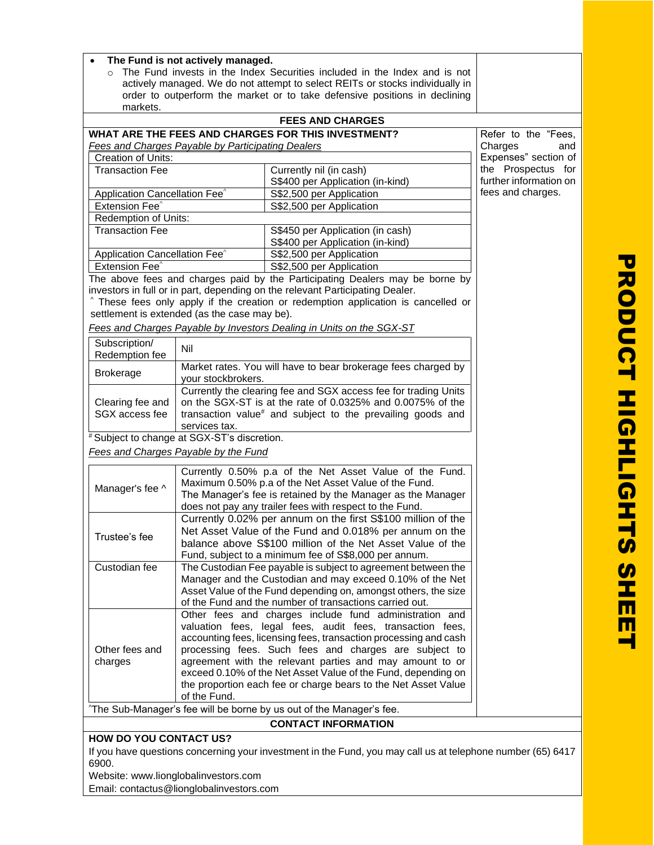| The Fund is not actively managed.                                                                                                                          |                                                                                                                           |                                                                                                                   |                        |  |  |
|------------------------------------------------------------------------------------------------------------------------------------------------------------|---------------------------------------------------------------------------------------------------------------------------|-------------------------------------------------------------------------------------------------------------------|------------------------|--|--|
| The Fund invests in the Index Securities included in the Index and is not<br>actively managed. We do not attempt to select REITs or stocks individually in |                                                                                                                           |                                                                                                                   |                        |  |  |
| order to outperform the market or to take defensive positions in declining                                                                                 |                                                                                                                           |                                                                                                                   |                        |  |  |
| markets.                                                                                                                                                   |                                                                                                                           |                                                                                                                   |                        |  |  |
|                                                                                                                                                            |                                                                                                                           | <b>FEES AND CHARGES</b>                                                                                           |                        |  |  |
|                                                                                                                                                            |                                                                                                                           | WHAT ARE THE FEES AND CHARGES FOR THIS INVESTMENT?                                                                | Refer to the "Fees,    |  |  |
|                                                                                                                                                            | Fees and Charges Payable by Participating Dealers                                                                         |                                                                                                                   | Charges<br>and         |  |  |
| Creation of Units:                                                                                                                                         | Expenses" section of                                                                                                      |                                                                                                                   |                        |  |  |
| <b>Transaction Fee</b>                                                                                                                                     | the Prospectus for                                                                                                        |                                                                                                                   |                        |  |  |
|                                                                                                                                                            |                                                                                                                           | S\$400 per Application (in-kind)                                                                                  | further information on |  |  |
| Application Cancellation Fee <sup>^</sup>                                                                                                                  |                                                                                                                           | S\$2,500 per Application                                                                                          | fees and charges.      |  |  |
| Extension Fee <sup>^</sup>                                                                                                                                 |                                                                                                                           | S\$2,500 per Application                                                                                          |                        |  |  |
| Redemption of Units:                                                                                                                                       |                                                                                                                           |                                                                                                                   |                        |  |  |
| Transaction Fee                                                                                                                                            |                                                                                                                           | S\$450 per Application (in cash)                                                                                  |                        |  |  |
|                                                                                                                                                            |                                                                                                                           | S\$400 per Application (in-kind)                                                                                  |                        |  |  |
| Application Cancellation Fee <sup>^</sup>                                                                                                                  |                                                                                                                           | S\$2,500 per Application                                                                                          |                        |  |  |
| Extension Fee <sup>^</sup>                                                                                                                                 |                                                                                                                           | S\$2,500 per Application<br>The above fees and charges paid by the Participating Dealers may be borne by          |                        |  |  |
|                                                                                                                                                            |                                                                                                                           | investors in full or in part, depending on the relevant Participating Dealer.                                     |                        |  |  |
|                                                                                                                                                            |                                                                                                                           | These fees only apply if the creation or redemption application is cancelled or                                   |                        |  |  |
|                                                                                                                                                            | settlement is extended (as the case may be).                                                                              |                                                                                                                   |                        |  |  |
|                                                                                                                                                            |                                                                                                                           | Fees and Charges Payable by Investors Dealing in Units on the SGX-ST                                              |                        |  |  |
| Subscription/                                                                                                                                              |                                                                                                                           |                                                                                                                   |                        |  |  |
| Redemption fee                                                                                                                                             | Nil                                                                                                                       |                                                                                                                   |                        |  |  |
|                                                                                                                                                            |                                                                                                                           | Market rates. You will have to bear brokerage fees charged by                                                     |                        |  |  |
| <b>Brokerage</b>                                                                                                                                           | your stockbrokers.                                                                                                        |                                                                                                                   |                        |  |  |
|                                                                                                                                                            |                                                                                                                           | Currently the clearing fee and SGX access fee for trading Units                                                   |                        |  |  |
| Clearing fee and                                                                                                                                           |                                                                                                                           | on the SGX-ST is at the rate of 0.0325% and 0.0075% of the                                                        |                        |  |  |
| SGX access fee                                                                                                                                             |                                                                                                                           | transaction value# and subject to the prevailing goods and                                                        |                        |  |  |
|                                                                                                                                                            | services tax.                                                                                                             |                                                                                                                   |                        |  |  |
|                                                                                                                                                            | # Subject to change at SGX-ST's discretion.                                                                               |                                                                                                                   |                        |  |  |
|                                                                                                                                                            | Fees and Charges Payable by the Fund                                                                                      |                                                                                                                   |                        |  |  |
|                                                                                                                                                            |                                                                                                                           | Currently 0.50% p.a of the Net Asset Value of the Fund.                                                           |                        |  |  |
|                                                                                                                                                            |                                                                                                                           | Maximum 0.50% p.a of the Net Asset Value of the Fund.                                                             |                        |  |  |
| Manager's fee ^                                                                                                                                            |                                                                                                                           | The Manager's fee is retained by the Manager as the Manager                                                       |                        |  |  |
|                                                                                                                                                            |                                                                                                                           | does not pay any trailer fees with respect to the Fund.                                                           |                        |  |  |
|                                                                                                                                                            |                                                                                                                           | Currently 0.02% per annum on the first S\$100 million of the                                                      |                        |  |  |
| Trustee's fee                                                                                                                                              |                                                                                                                           | Net Asset Value of the Fund and 0.018% per annum on the                                                           |                        |  |  |
|                                                                                                                                                            |                                                                                                                           | balance above S\$100 million of the Net Asset Value of the                                                        |                        |  |  |
|                                                                                                                                                            |                                                                                                                           | Fund, subject to a minimum fee of S\$8,000 per annum.                                                             |                        |  |  |
| Custodian fee                                                                                                                                              |                                                                                                                           | The Custodian Fee payable is subject to agreement between the                                                     |                        |  |  |
|                                                                                                                                                            |                                                                                                                           | Manager and the Custodian and may exceed 0.10% of the Net                                                         |                        |  |  |
|                                                                                                                                                            | Asset Value of the Fund depending on, amongst others, the size                                                            |                                                                                                                   |                        |  |  |
|                                                                                                                                                            |                                                                                                                           | of the Fund and the number of transactions carried out.<br>Other fees and charges include fund administration and |                        |  |  |
|                                                                                                                                                            |                                                                                                                           | valuation fees, legal fees, audit fees, transaction fees,                                                         |                        |  |  |
|                                                                                                                                                            |                                                                                                                           |                                                                                                                   |                        |  |  |
| Other fees and                                                                                                                                             | accounting fees, licensing fees, transaction processing and cash<br>processing fees. Such fees and charges are subject to |                                                                                                                   |                        |  |  |
| charges                                                                                                                                                    | agreement with the relevant parties and may amount to or                                                                  |                                                                                                                   |                        |  |  |
| exceed 0.10% of the Net Asset Value of the Fund, depending on                                                                                              |                                                                                                                           |                                                                                                                   |                        |  |  |
| the proportion each fee or charge bears to the Net Asset Value                                                                                             |                                                                                                                           |                                                                                                                   |                        |  |  |
| of the Fund.                                                                                                                                               |                                                                                                                           |                                                                                                                   |                        |  |  |
| "The Sub-Manager's fee will be borne by us out of the Manager's fee.                                                                                       |                                                                                                                           |                                                                                                                   |                        |  |  |
| <b>CONTACT INFORMATION</b>                                                                                                                                 |                                                                                                                           |                                                                                                                   |                        |  |  |
| <b>HOW DO YOU CONTACT US?</b>                                                                                                                              |                                                                                                                           |                                                                                                                   |                        |  |  |
|                                                                                                                                                            |                                                                                                                           | If you have questions concerning your investment in the Fund, you may call us at telephone number (65) 6417       |                        |  |  |

6900.

Website[: www.lionglobalinvestors.com](http://www.lionglobalinvestors.com/)

Email: contactus@lionglobalinvestors.com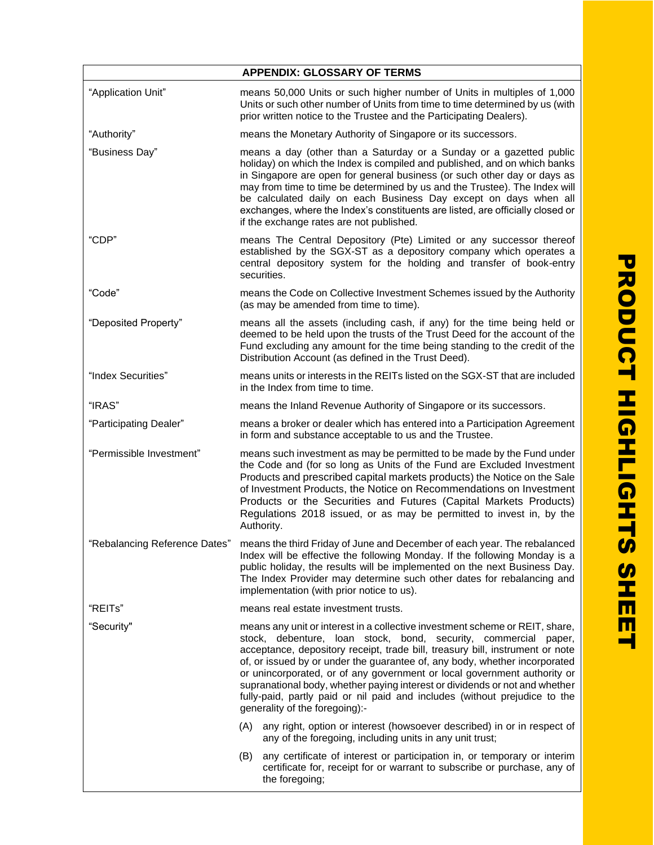|                               | <b>APPENDIX: GLOSSARY OF TERMS</b>                                                                                                                                                                                                                                                                                                                                                                                                                                                                                                                                                        |  |
|-------------------------------|-------------------------------------------------------------------------------------------------------------------------------------------------------------------------------------------------------------------------------------------------------------------------------------------------------------------------------------------------------------------------------------------------------------------------------------------------------------------------------------------------------------------------------------------------------------------------------------------|--|
| "Application Unit"            | means 50,000 Units or such higher number of Units in multiples of 1,000<br>Units or such other number of Units from time to time determined by us (with<br>prior written notice to the Trustee and the Participating Dealers).                                                                                                                                                                                                                                                                                                                                                            |  |
| "Authority"                   | means the Monetary Authority of Singapore or its successors.                                                                                                                                                                                                                                                                                                                                                                                                                                                                                                                              |  |
| "Business Day"                | means a day (other than a Saturday or a Sunday or a gazetted public<br>holiday) on which the Index is compiled and published, and on which banks<br>in Singapore are open for general business (or such other day or days as<br>may from time to time be determined by us and the Trustee). The Index will<br>be calculated daily on each Business Day except on days when all<br>exchanges, where the Index's constituents are listed, are officially closed or<br>if the exchange rates are not published.                                                                              |  |
| "CDP"                         | means The Central Depository (Pte) Limited or any successor thereof<br>established by the SGX-ST as a depository company which operates a<br>central depository system for the holding and transfer of book-entry<br>securities.                                                                                                                                                                                                                                                                                                                                                          |  |
| "Code"                        | means the Code on Collective Investment Schemes issued by the Authority<br>(as may be amended from time to time).                                                                                                                                                                                                                                                                                                                                                                                                                                                                         |  |
| "Deposited Property"          | means all the assets (including cash, if any) for the time being held or<br>deemed to be held upon the trusts of the Trust Deed for the account of the<br>Fund excluding any amount for the time being standing to the credit of the<br>Distribution Account (as defined in the Trust Deed).                                                                                                                                                                                                                                                                                              |  |
| "Index Securities"            | means units or interests in the REITs listed on the SGX-ST that are included<br>in the Index from time to time.                                                                                                                                                                                                                                                                                                                                                                                                                                                                           |  |
| "IRAS"                        | means the Inland Revenue Authority of Singapore or its successors.                                                                                                                                                                                                                                                                                                                                                                                                                                                                                                                        |  |
| "Participating Dealer"        | means a broker or dealer which has entered into a Participation Agreement<br>in form and substance acceptable to us and the Trustee.                                                                                                                                                                                                                                                                                                                                                                                                                                                      |  |
| "Permissible Investment"      | means such investment as may be permitted to be made by the Fund under<br>the Code and (for so long as Units of the Fund are Excluded Investment<br>Products and prescribed capital markets products) the Notice on the Sale<br>of Investment Products, the Notice on Recommendations on Investment<br>Products or the Securities and Futures (Capital Markets Products)<br>Regulations 2018 issued, or as may be permitted to invest in, by the<br>Authority.                                                                                                                            |  |
| "Rebalancing Reference Dates" | means the third Friday of June and December of each year. The rebalanced<br>Index will be effective the following Monday. If the following Monday is a<br>public holiday, the results will be implemented on the next Business Day.<br>The Index Provider may determine such other dates for rebalancing and<br>implementation (with prior notice to us).                                                                                                                                                                                                                                 |  |
| "REITs"                       | means real estate investment trusts.                                                                                                                                                                                                                                                                                                                                                                                                                                                                                                                                                      |  |
| "Security"                    | means any unit or interest in a collective investment scheme or REIT, share,<br>stock, debenture, loan stock, bond, security, commercial paper,<br>acceptance, depository receipt, trade bill, treasury bill, instrument or note<br>of, or issued by or under the guarantee of, any body, whether incorporated<br>or unincorporated, or of any government or local government authority or<br>supranational body, whether paying interest or dividends or not and whether<br>fully-paid, partly paid or nil paid and includes (without prejudice to the<br>generality of the foregoing):- |  |
|                               | any right, option or interest (howsoever described) in or in respect of<br>(A)<br>any of the foregoing, including units in any unit trust;                                                                                                                                                                                                                                                                                                                                                                                                                                                |  |
|                               | any certificate of interest or participation in, or temporary or interim<br>(B)<br>certificate for, receipt for or warrant to subscribe or purchase, any of<br>the foregoing;                                                                                                                                                                                                                                                                                                                                                                                                             |  |